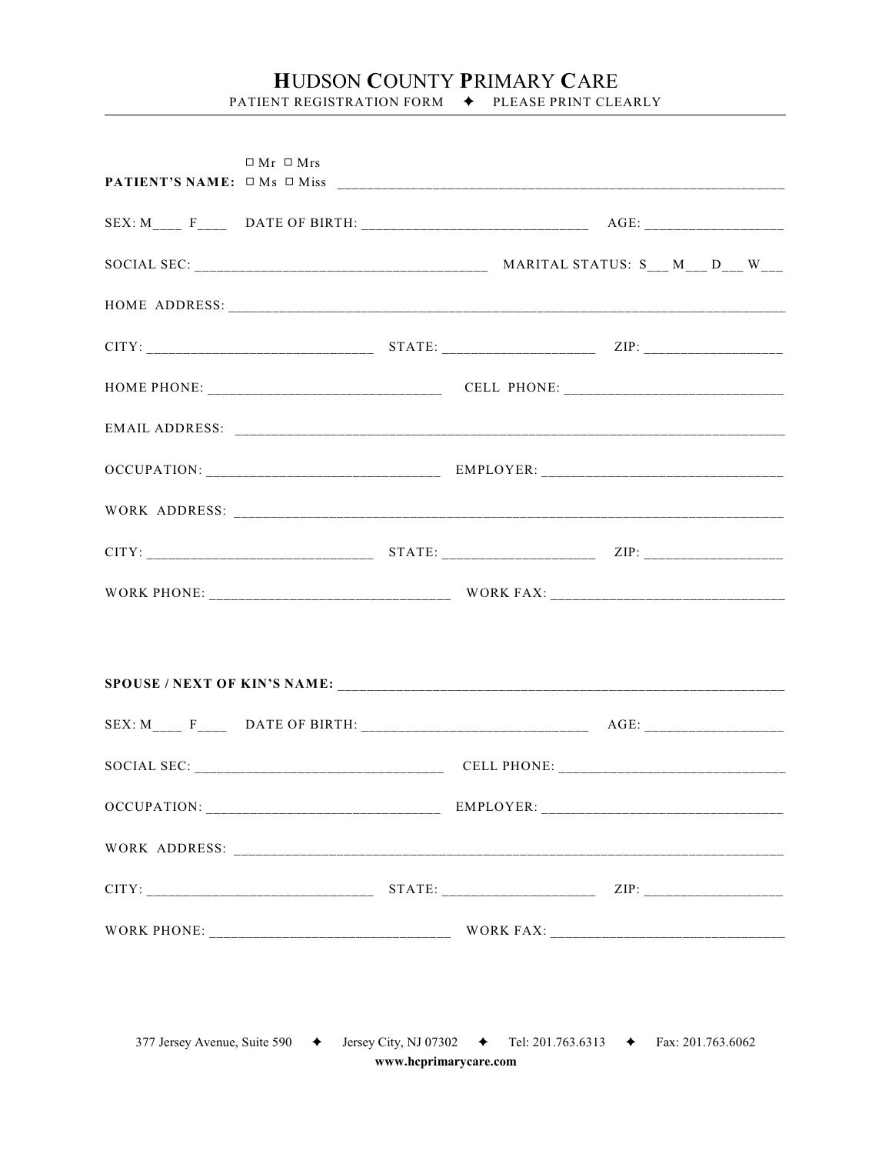## HUDSON COUNTY PRIMARY CARE PATIENT REGISTRATION FORM  $\blacklozenge$  PLEASE PRINT CLEARLY

| $\Box$ Mr $\Box$ Mrs |  |  |
|----------------------|--|--|
|                      |  |  |
|                      |  |  |
|                      |  |  |
|                      |  |  |
|                      |  |  |
|                      |  |  |
|                      |  |  |
|                      |  |  |
|                      |  |  |
|                      |  |  |
|                      |  |  |
|                      |  |  |
|                      |  |  |
|                      |  |  |
|                      |  |  |
|                      |  |  |
|                      |  |  |
|                      |  |  |
|                      |  |  |
|                      |  |  |
|                      |  |  |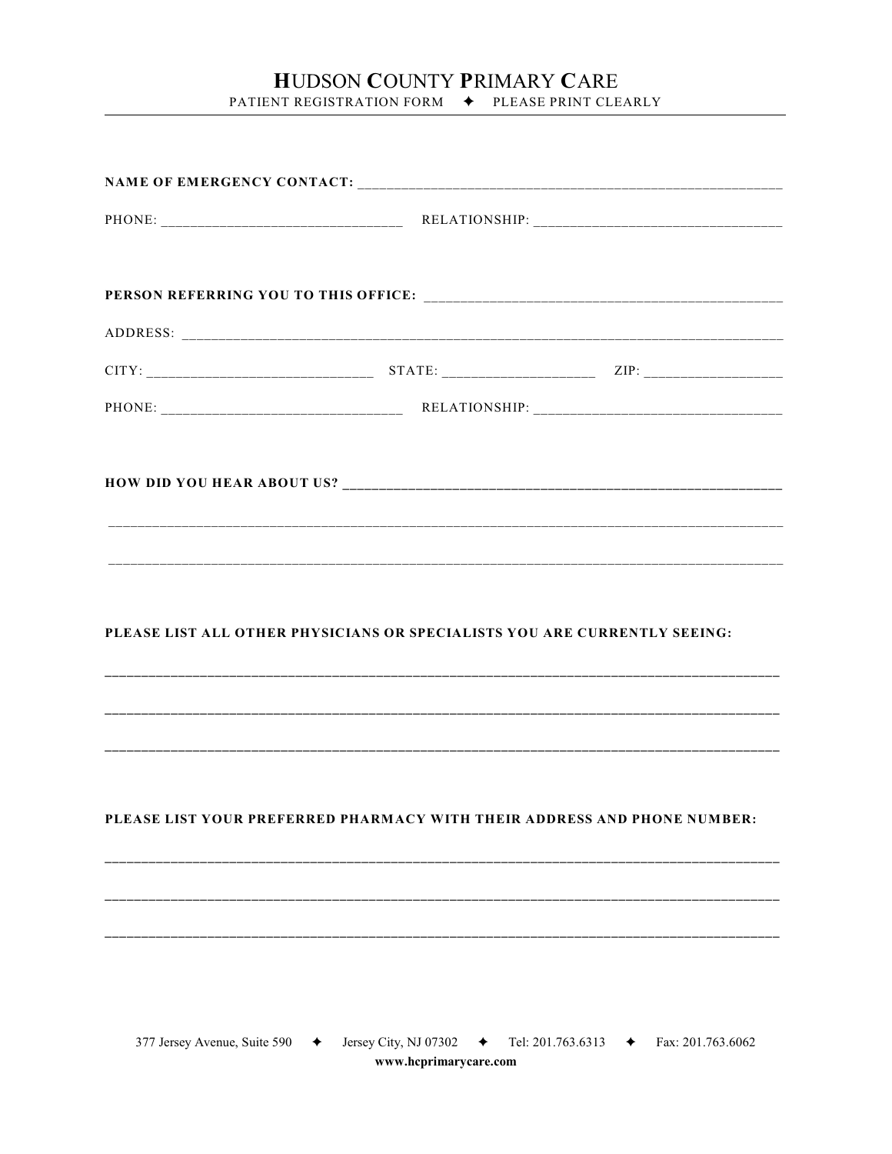## HUDSON COUNTY PRIMARY CARE

PATIENT REGISTRATION FORM  $\blacklozenge$  PLEASE PRINT CLEARLY

|  | PLEASE LIST ALL OTHER PHYSICIANS OR SPECIALISTS YOU ARE CURRENTLY SEEING: |  |  |  |
|--|---------------------------------------------------------------------------|--|--|--|
|  |                                                                           |  |  |  |
|  |                                                                           |  |  |  |
|  |                                                                           |  |  |  |
|  | PLEASE LIST YOUR PREFERRED PHARMACY WITH THEIR ADDRESS AND PHONE NUMBER:  |  |  |  |
|  |                                                                           |  |  |  |
|  |                                                                           |  |  |  |
|  |                                                                           |  |  |  |
|  |                                                                           |  |  |  |